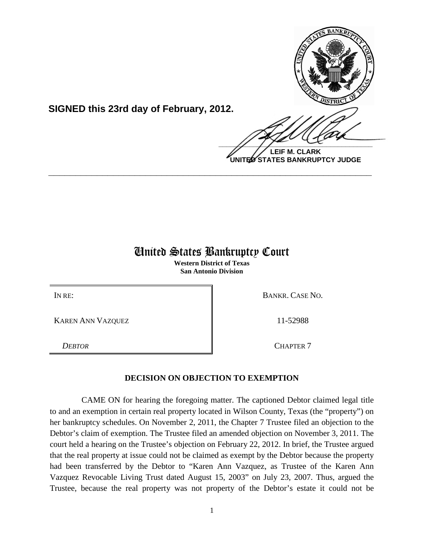

**SIGNED this 23rd day of February, 2012.**

**LEIF M. CLARK UNITED STATES BANKRUPTCY JUDGE**

## United States Bankruptcy Court

**\_\_\_\_\_\_\_\_\_\_\_\_\_\_\_\_\_\_\_\_\_\_\_\_\_\_\_\_\_\_\_\_\_\_\_\_\_\_\_\_\_\_\_\_\_\_\_\_\_\_\_\_\_\_\_\_\_\_\_\_**

**Western District of Texas San Antonio Division**

KAREN ANN VAZQUEZ 11-52988

IN RE: BANKR. CASE NO.

*DEBTOR* CHAPTER 7

## **DECISION ON OBJECTION TO EXEMPTION**

CAME ON for hearing the foregoing matter. The captioned Debtor claimed legal title to and an exemption in certain real property located in Wilson County, Texas (the "property") on her bankruptcy schedules. On November 2, 2011, the Chapter 7 Trustee filed an objection to the Debtor's claim of exemption. The Trustee filed an amended objection on November 3, 2011. The court held a hearing on the Trustee's objection on February 22, 2012. In brief, the Trustee argued that the real property at issue could not be claimed as exempt by the Debtor because the property had been transferred by the Debtor to "Karen Ann Vazquez, as Trustee of the Karen Ann Vazquez Revocable Living Trust dated August 15, 2003" on July 23, 2007. Thus, argued the Trustee, because the real property was not property of the Debtor's estate it could not be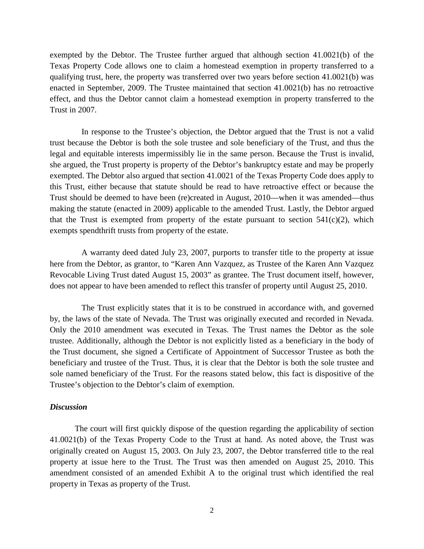exempted by the Debtor. The Trustee further argued that although section 41.0021(b) of the Texas Property Code allows one to claim a homestead exemption in property transferred to a qualifying trust, here, the property was transferred over two years before section 41.0021(b) was enacted in September, 2009. The Trustee maintained that section 41.0021(b) has no retroactive effect, and thus the Debtor cannot claim a homestead exemption in property transferred to the Trust in 2007.

In response to the Trustee's objection, the Debtor argued that the Trust is not a valid trust because the Debtor is both the sole trustee and sole beneficiary of the Trust, and thus the legal and equitable interests impermissibly lie in the same person. Because the Trust is invalid, she argued, the Trust property is property of the Debtor's bankruptcy estate and may be properly exempted. The Debtor also argued that section 41.0021 of the Texas Property Code does apply to this Trust, either because that statute should be read to have retroactive effect or because the Trust should be deemed to have been (re)created in August, 2010—when it was amended—thus making the statute (enacted in 2009) applicable to the amended Trust. Lastly, the Debtor argued that the Trust is exempted from property of the estate pursuant to section  $541(c)(2)$ , which exempts spendthrift trusts from property of the estate.

A warranty deed dated July 23, 2007, purports to transfer title to the property at issue here from the Debtor, as grantor, to "Karen Ann Vazquez, as Trustee of the Karen Ann Vazquez Revocable Living Trust dated August 15, 2003" as grantee. The Trust document itself, however, does not appear to have been amended to reflect this transfer of property until August 25, 2010.

The Trust explicitly states that it is to be construed in accordance with, and governed by, the laws of the state of Nevada. The Trust was originally executed and recorded in Nevada. Only the 2010 amendment was executed in Texas. The Trust names the Debtor as the sole trustee. Additionally, although the Debtor is not explicitly listed as a beneficiary in the body of the Trust document, she signed a Certificate of Appointment of Successor Trustee as both the beneficiary and trustee of the Trust. Thus, it is clear that the Debtor is both the sole trustee and sole named beneficiary of the Trust. For the reasons stated below, this fact is dispositive of the Trustee's objection to the Debtor's claim of exemption.

## *Discussion*

The court will first quickly dispose of the question regarding the applicability of section 41.0021(b) of the Texas Property Code to the Trust at hand. As noted above, the Trust was originally created on August 15, 2003. On July 23, 2007, the Debtor transferred title to the real property at issue here to the Trust. The Trust was then amended on August 25, 2010. This amendment consisted of an amended Exhibit A to the original trust which identified the real property in Texas as property of the Trust.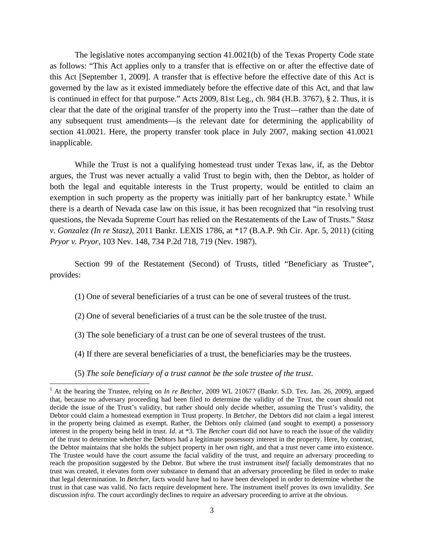The legislative notes accompanying section 41.0021(b) of the Texas Property Code state as follows: "This Act applies only to a transfer that is effective on or after the effective date of this Act [September 1, 2009]. A transfer that is effective before the effective date of this Act is governed by the law as it existed immediately before the effective date of this Act, and that law is continued in effect for that purpose." Acts 2009, 81st Leg., ch. 984 (H.B. 3767), § 2. Thus, it is clear that the date of the original transfer of the property into the Trust—rather than the date of any subsequent trust amendments—is the relevant date for determining the applicability of section 41.0021. Here, the property transfer took place in July 2007, making section 41.0021 inapplicable.

While the Trust is not a qualifying homestead trust under Texas law, if, as the Debtor argues, the Trust was never actually a valid Trust to begin with, then the Debtor, as holder of both the legal and equitable interests in the Trust property, would be entitled to claim an exemption in such property as the property was initially part of her bankruptcy estate.<sup>[1](#page-2-0)</sup> While there is a dearth of Nevada case law on this issue, it has been recognized that "in resolving trust questions, the Nevada Supreme Court has relied on the Restatements of the Law of Trusts." *Stasz v. Gonzalez (In re Stasz)*, 2011 Bankr. LEXIS 1786, at \*17 (B.A.P. 9th Cir. Apr. 5, 2011) (citing *Pryor v. Pryor*, 103 Nev. 148, 734 P.2d 718, 719 (Nev. 1987).

Section 99 of the Restatement (Second) of Trusts, titled "Beneficiary as Trustee", provides:

- (1) One of several beneficiaries of a trust can be one of several trustees of the trust.
- (2) One of several beneficiaries of a trust can be the sole trustee of the trust.
- (3) The sole beneficiary of a trust can be one of several trustees of the trust.
- (4) If there are several beneficiaries of a trust, the beneficiaries may be the trustees.
- (5) *The sole beneficiary of a trust cannot be the sole trustee of the trust*.

 $\overline{\phantom{0}}$ 

<span id="page-2-0"></span><sup>1</sup> At the hearing the Trustee, relying on *In re Betcher*, 2009 WL 210677 (Bankr. S.D. Tex. Jan. 26, 2009), argued that, because no adversary proceeding had been filed to determine the validity of the Trust, the court should not decide the issue of the Trust's validity, but rather should only decide whether, assuming the Trust's validity, the Debtor could claim a homestead exemption in Trust property. In *Betcher*, the Debtors did not claim a legal interest in the property being claimed as exempt. Rather, the Debtors only claimed (and sought to exempt) a possessory interest in the property being held in trust. *Id*. at \*3. The *Betcher* court did not have to reach the issue of the validity of the trust to determine whether the Debtors had a legitimate possessory interest in the property. Here, by contrast, the Debtor maintains that she holds the subject property in her own right, and that a trust never came into existence. The Trustee would have the court assume the facial validity of the trust, and require an adversary proceeding to reach the proposition suggested by the Debtor. But where the trust instrument *itself* facially demonstrates that no trust was created, it elevates form over substance to demand that an adversary proceeding be filed in order to make that legal determination. In *Betcher*, facts would have had to have been developed in order to determine whether the trust in that case was valid. No facts require development here. The instrument itself proves its own invalidity. *See*  discussion *infra.* The court accordingly declines to require an adversary proceeding to arrive at the obvious.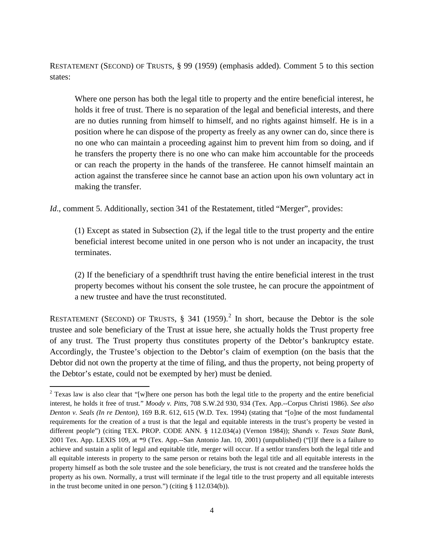RESTATEMENT (SECOND) OF TRUSTS, § 99 (1959) (emphasis added). Comment 5 to this section states:

Where one person has both the legal title to property and the entire beneficial interest, he holds it free of trust. There is no separation of the legal and beneficial interests, and there are no duties running from himself to himself, and no rights against himself. He is in a position where he can dispose of the property as freely as any owner can do, since there is no one who can maintain a proceeding against him to prevent him from so doing, and if he transfers the property there is no one who can make him accountable for the proceeds or can reach the property in the hands of the transferee. He cannot himself maintain an action against the transferee since he cannot base an action upon his own voluntary act in making the transfer.

*Id.*, comment 5. Additionally, section 341 of the Restatement, titled "Merger", provides:

(1) Except as stated in Subsection (2), if the legal title to the trust property and the entire beneficial interest become united in one person who is not under an incapacity, the trust terminates.

(2) If the beneficiary of a spendthrift trust having the entire beneficial interest in the trust property becomes without his consent the sole trustee, he can procure the appointment of a new trustee and have the trust reconstituted.

RESTATEMENT (SECOND) OF TRUSTS,  $\S$  341 (1959).<sup>[2](#page-3-0)</sup> In short, because the Debtor is the sole trustee and sole beneficiary of the Trust at issue here, she actually holds the Trust property free of any trust. The Trust property thus constitutes property of the Debtor's bankruptcy estate. Accordingly, the Trustee's objection to the Debtor's claim of exemption (on the basis that the Debtor did not own the property at the time of filing, and thus the property, not being property of the Debtor's estate, could not be exempted by her) must be denied.

ı

<span id="page-3-0"></span><sup>&</sup>lt;sup>2</sup> Texas law is also clear that "[w]here one person has both the legal title to the property and the entire beneficial interest, he holds it free of trust." *Moody v. Pitts*, 708 S.W.2d 930, 934 (Tex. App.--Corpus Christi 1986). *See also Denton v. Seals (In re Denton)*, 169 B.R. 612, 615 (W.D. Tex. 1994) (stating that "[o]ne of the most fundamental requirements for the creation of a trust is that the legal and equitable interests in the trust's property be vested in different people") (citing TEX. PROP. CODE ANN. § 112.034(a) (Vernon 1984)); *Shands v. Texas State Bank*, 2001 Tex. App. LEXIS 109, at \*9 (Tex. App.--San Antonio Jan. 10, 2001) (unpublished) ("[I]f there is a failure to achieve and sustain a split of legal and equitable title, merger will occur. If a settlor transfers both the legal title and all equitable interests in property to the same person or retains both the legal title and all equitable interests in the property himself as both the sole trustee and the sole beneficiary, the trust is not created and the transferee holds the property as his own. Normally, a trust will terminate if the legal title to the trust property and all equitable interests in the trust become united in one person.") (citing § 112.034(b)).